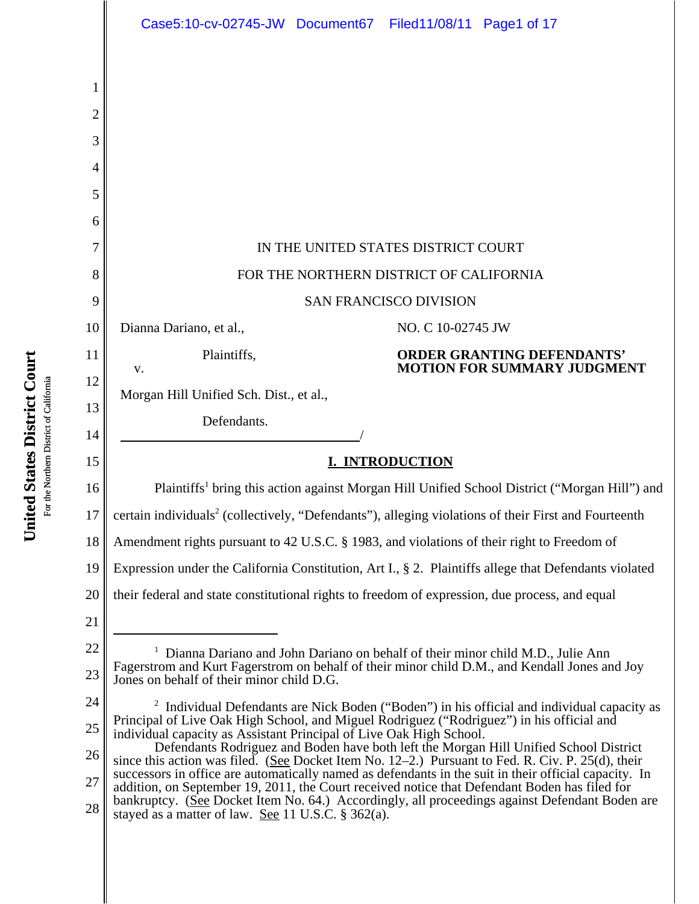|          | Case5:10-cv-02745-JW Document67 Filed11/08/11 Page1 of 17                                                                                                                                                                                 |
|----------|-------------------------------------------------------------------------------------------------------------------------------------------------------------------------------------------------------------------------------------------|
|          |                                                                                                                                                                                                                                           |
| 1        |                                                                                                                                                                                                                                           |
| 2        |                                                                                                                                                                                                                                           |
| 3        |                                                                                                                                                                                                                                           |
| 4        |                                                                                                                                                                                                                                           |
| 5        |                                                                                                                                                                                                                                           |
| 6        |                                                                                                                                                                                                                                           |
| 7        | IN THE UNITED STATES DISTRICT COURT                                                                                                                                                                                                       |
| 8        | FOR THE NORTHERN DISTRICT OF CALIFORNIA                                                                                                                                                                                                   |
| 9        | <b>SAN FRANCISCO DIVISION</b>                                                                                                                                                                                                             |
| 10       | Dianna Dariano, et al.,<br>NO. C 10-02745 JW                                                                                                                                                                                              |
| 11       | <b>ORDER GRANTING DEFENDANTS'</b><br>Plaintiffs,<br><b>MOTION FOR SUMMARY JUDGMENT</b><br>V.                                                                                                                                              |
| 12       | Morgan Hill Unified Sch. Dist., et al.,                                                                                                                                                                                                   |
| 13       | Defendants.                                                                                                                                                                                                                               |
| 14       |                                                                                                                                                                                                                                           |
| 15       | <b>I. INTRODUCTION</b>                                                                                                                                                                                                                    |
| 16       | Plaintiffs <sup>1</sup> bring this action against Morgan Hill Unified School District ("Morgan Hill") and                                                                                                                                 |
| 17       | certain individuals <sup>2</sup> (collectively, "Defendants"), alleging violations of their First and Fourteenth                                                                                                                          |
| 18       | Amendment rights pursuant to 42 U.S.C. § 1983, and violations of their right to Freedom of                                                                                                                                                |
| 19       | Expression under the California Constitution, Art I., § 2. Plaintiffs allege that Defendants violated                                                                                                                                     |
| 20       | their federal and state constitutional rights to freedom of expression, due process, and equal                                                                                                                                            |
| 21       |                                                                                                                                                                                                                                           |
| 22<br>23 | <sup>1</sup> Dianna Dariano and John Dariano on behalf of their minor child M.D., Julie Ann<br>Fagerstrom and Kurt Fagerstrom on behalf of their minor child D.M., and Kendall Jones and Joy<br>Jones on behalf of their minor child D.G. |
| 24       | <sup>2</sup> Individual Defendants are Nick Boden ("Boden") in his official and individual capacity as                                                                                                                                    |
| 25       | Principal of Live Oak High School, and Miguel Rodriguez ("Rodriguez") in his official and<br>individual capacity as Assistant Principal of Live Oak High School.                                                                          |
| 26       | Defendants Rodriguez and Boden have both left the Morgan Hill Unified School District<br>since this action was filed. (See Docket Item No. 12–2.) Pursuant to Fed. R. Civ. P. 25(d), their                                                |
| 27       | successors in office are automatically named as defendants in the suit in their official capacity. In<br>addition, on September 19, 2011, the Court received notice that Defendant Boden has filed for                                    |
| 28       | bankruptcy. (See Docket Item No. 64.) Accordingly, all proceedings against Defendant Boden are<br>stayed as a matter of law. See 11 U.S.C. § 362(a).                                                                                      |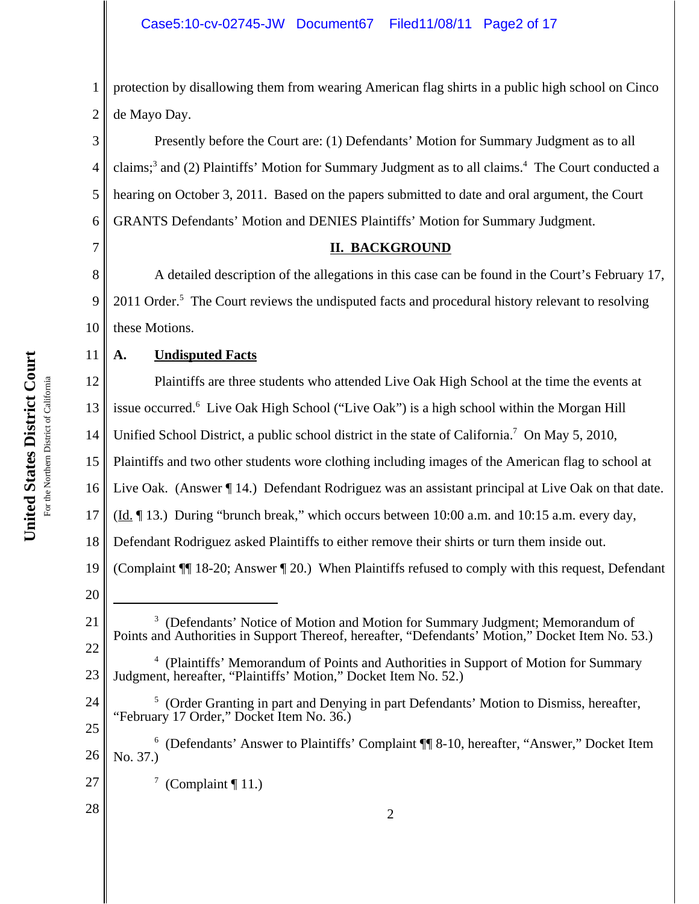# Case5:10-cv-02745-JW Document67 Filed11/08/11 Page2 of 17

1 2 protection by disallowing them from wearing American flag shirts in a public high school on Cinco de Mayo Day.

3 4 5 6 Presently before the Court are: (1) Defendants' Motion for Summary Judgment as to all claims;<sup>3</sup> and (2) Plaintiffs' Motion for Summary Judgment as to all claims.<sup>4</sup> The Court conducted a hearing on October 3, 2011. Based on the papers submitted to date and oral argument, the Court GRANTS Defendants' Motion and DENIES Plaintiffs' Motion for Summary Judgment.

#### **II. BACKGROUND**

8 9 10 A detailed description of the allegations in this case can be found in the Court's February 17, 2011 Order.<sup>5</sup> The Court reviews the undisputed facts and procedural history relevant to resolving these Motions.

# **A. Undisputed Facts**

12 13 14 15 16 17 18 19 20 21 22 23 24 25 26 27 28 <sup>3</sup> (Defendants' Notice of Motion and Motion for Summary Judgment; Memorandum of Points and Authorities in Support Thereof, hereafter, "Defendants' Motion," Docket Item No. 53.) <sup>4</sup> (Plaintiffs' Memorandum of Points and Authorities in Support of Motion for Summary Judgment, hereafter, "Plaintiffs' Motion," Docket Item No. 52.) <sup>5</sup> (Order Granting in part and Denying in part Defendants' Motion to Dismiss, hereafter, "February 17 Order," Docket Item No. 36.) <sup>6</sup> (Defendants' Answer to Plaintiffs' Complaint ¶ 8-10, hereafter, "Answer," Docket Item No. 37.)  $\frac{7}{11}$  (Complaint ¶ 11.) 2 Plaintiffs are three students who attended Live Oak High School at the time the events at issue occurred.<sup>6</sup> Live Oak High School ("Live Oak") is a high school within the Morgan Hill Unified School District, a public school district in the state of California.<sup>7</sup> On May 5, 2010, Plaintiffs and two other students wore clothing including images of the American flag to school at Live Oak. (Answer  $\P$  14.) Defendant Rodriguez was an assistant principal at Live Oak on that date. (Id. ¶ 13.) During "brunch break," which occurs between 10:00 a.m. and 10:15 a.m. every day, Defendant Rodriguez asked Plaintiffs to either remove their shirts or turn them inside out. (Complaint ¶¶ 18-20; Answer ¶ 20.) When Plaintiffs refused to comply with this request, Defendant

7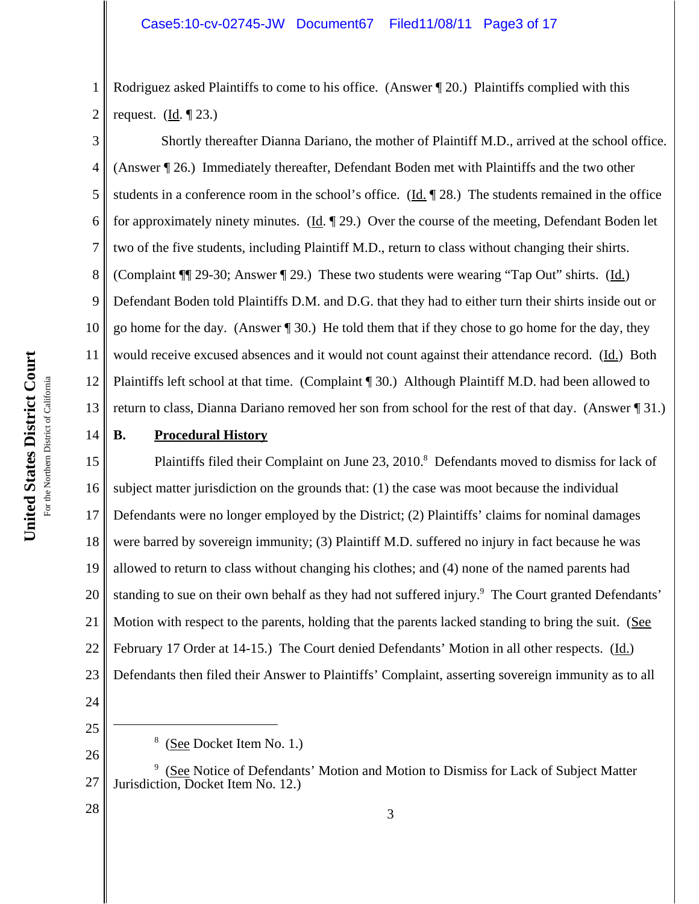1 2 Rodriguez asked Plaintiffs to come to his office. (Answer  $\P$  20.) Plaintiffs complied with this request.  $(Id. \P 23.)$ 

3 4 5 6 7 8 9 10 11 12 13 Shortly thereafter Dianna Dariano, the mother of Plaintiff M.D., arrived at the school office. (Answer ¶ 26.) Immediately thereafter, Defendant Boden met with Plaintiffs and the two other students in a conference room in the school's office. (Id. ¶ 28.) The students remained in the office for approximately ninety minutes. (Id. ¶ 29.) Over the course of the meeting, Defendant Boden let two of the five students, including Plaintiff M.D., return to class without changing their shirts. (Complaint ¶¶ 29-30; Answer ¶ 29.) These two students were wearing "Tap Out" shirts. (Id.) Defendant Boden told Plaintiffs D.M. and D.G. that they had to either turn their shirts inside out or go home for the day. (Answer ¶ 30.) He told them that if they chose to go home for the day, they would receive excused absences and it would not count against their attendance record. (Id.) Both Plaintiffs left school at that time. (Complaint ¶ 30.) Although Plaintiff M.D. had been allowed to return to class, Dianna Dariano removed her son from school for the rest of that day. (Answer ¶ 31.)

# 14

# **B. Procedural History**

15 16 17 18 19 20 21 22 23 Plaintiffs filed their Complaint on June 23, 2010.<sup>8</sup> Defendants moved to dismiss for lack of subject matter jurisdiction on the grounds that: (1) the case was moot because the individual Defendants were no longer employed by the District; (2) Plaintiffs' claims for nominal damages were barred by sovereign immunity; (3) Plaintiff M.D. suffered no injury in fact because he was allowed to return to class without changing his clothes; and (4) none of the named parents had standing to sue on their own behalf as they had not suffered injury.<sup>9</sup> The Court granted Defendants' Motion with respect to the parents, holding that the parents lacked standing to bring the suit. (See February 17 Order at 14-15.) The Court denied Defendants' Motion in all other respects. (Id.) Defendants then filed their Answer to Plaintiffs' Complaint, asserting sovereign immunity as to all

- 24
- 25

<sup>&</sup>lt;sup>8</sup> (See Docket Item No. 1.)

<sup>27</sup> <sup>9</sup> (See Notice of Defendants' Motion and Motion to Dismiss for Lack of Subject Matter Jurisdiction, Docket Item No. 12.)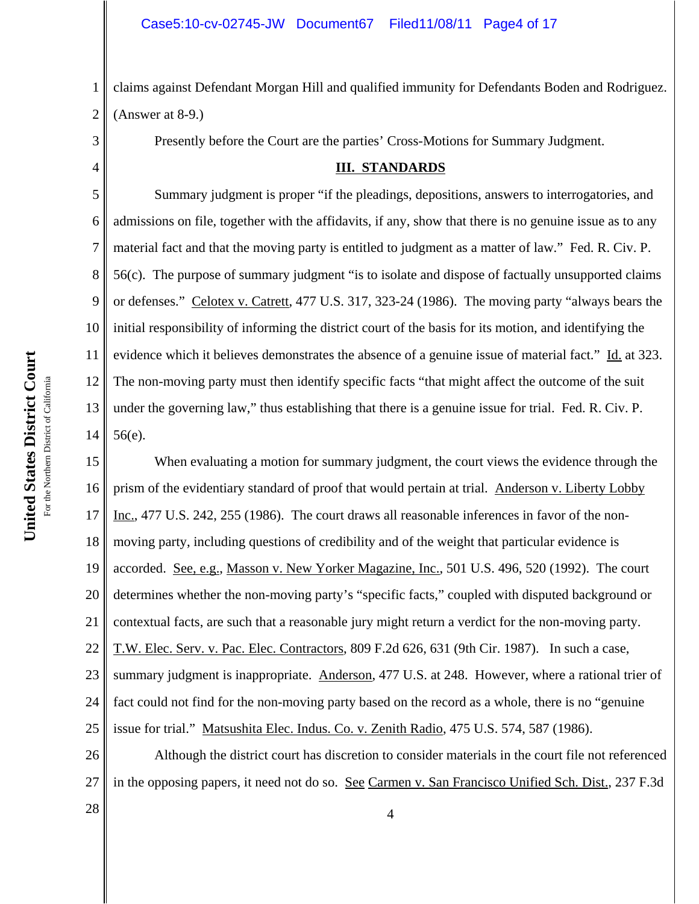1 2 claims against Defendant Morgan Hill and qualified immunity for Defendants Boden and Rodriguez. (Answer at 8-9.)

Presently before the Court are the parties' Cross-Motions for Summary Judgment.

#### **III. STANDARDS**

5 6 7 8 9 10 11 12 13 14 Summary judgment is proper "if the pleadings, depositions, answers to interrogatories, and admissions on file, together with the affidavits, if any, show that there is no genuine issue as to any material fact and that the moving party is entitled to judgment as a matter of law." Fed. R. Civ. P. 56(c). The purpose of summary judgment "is to isolate and dispose of factually unsupported claims or defenses." Celotex v. Catrett, 477 U.S. 317, 323-24 (1986). The moving party "always bears the initial responsibility of informing the district court of the basis for its motion, and identifying the evidence which it believes demonstrates the absence of a genuine issue of material fact." Id. at 323. The non-moving party must then identify specific facts "that might affect the outcome of the suit under the governing law," thus establishing that there is a genuine issue for trial. Fed. R. Civ. P. 56(e).

15 16 17 18 19 20 21 22 23 24 25 When evaluating a motion for summary judgment, the court views the evidence through the prism of the evidentiary standard of proof that would pertain at trial. Anderson v. Liberty Lobby Inc., 477 U.S. 242, 255 (1986). The court draws all reasonable inferences in favor of the nonmoving party, including questions of credibility and of the weight that particular evidence is accorded. See, e.g., Masson v. New Yorker Magazine, Inc., 501 U.S. 496, 520 (1992). The court determines whether the non-moving party's "specific facts," coupled with disputed background or contextual facts, are such that a reasonable jury might return a verdict for the non-moving party. T.W. Elec. Serv. v. Pac. Elec. Contractors, 809 F.2d 626, 631 (9th Cir. 1987). In such a case, summary judgment is inappropriate. Anderson, 477 U.S. at 248. However, where a rational trier of fact could not find for the non-moving party based on the record as a whole, there is no "genuine issue for trial." Matsushita Elec. Indus. Co. v. Zenith Radio, 475 U.S. 574, 587 (1986).

26 27 Although the district court has discretion to consider materials in the court file not referenced in the opposing papers, it need not do so. See Carmen v. San Francisco Unified Sch. Dist., 237 F.3d

 $\begin{array}{|c|c|c|c|c|}\n\hline\n28 & & & 4 \\
\hline\n\end{array}$ 

For the Northern District of California For the Northern District of California 3

4

**United States District Court**

United States District Court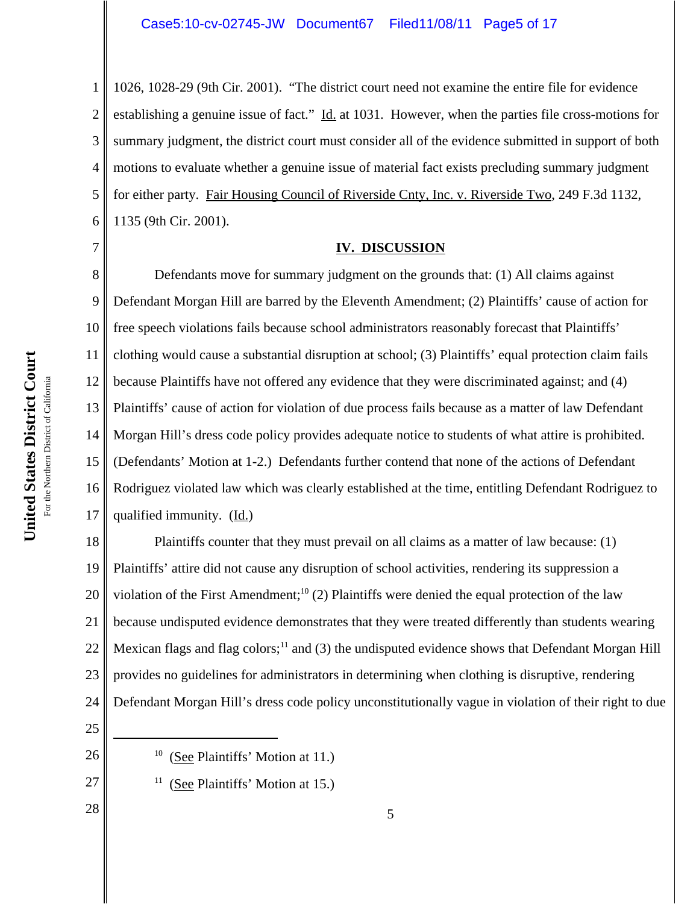1 2 3 4 5 6 1026, 1028-29 (9th Cir. 2001). "The district court need not examine the entire file for evidence establishing a genuine issue of fact." Id. at 1031. However, when the parties file cross-motions for summary judgment, the district court must consider all of the evidence submitted in support of both motions to evaluate whether a genuine issue of material fact exists precluding summary judgment for either party. Fair Housing Council of Riverside Cnty, Inc. v. Riverside Two, 249 F.3d 1132, 1135 (9th Cir. 2001).

# 7

#### **IV. DISCUSSION**

8 9 10 11 12 13 14 15 16 17 Defendants move for summary judgment on the grounds that: (1) All claims against Defendant Morgan Hill are barred by the Eleventh Amendment; (2) Plaintiffs' cause of action for free speech violations fails because school administrators reasonably forecast that Plaintiffs' clothing would cause a substantial disruption at school; (3) Plaintiffs' equal protection claim fails because Plaintiffs have not offered any evidence that they were discriminated against; and (4) Plaintiffs' cause of action for violation of due process fails because as a matter of law Defendant Morgan Hill's dress code policy provides adequate notice to students of what attire is prohibited. (Defendants' Motion at 1-2.) Defendants further contend that none of the actions of Defendant Rodriguez violated law which was clearly established at the time, entitling Defendant Rodriguez to qualified immunity. (Id.)

18 19 20 21 22 23 24 Plaintiffs counter that they must prevail on all claims as a matter of law because: (1) Plaintiffs' attire did not cause any disruption of school activities, rendering its suppression a violation of the First Amendment;<sup>10</sup> (2) Plaintiffs were denied the equal protection of the law because undisputed evidence demonstrates that they were treated differently than students wearing Mexican flags and flag colors; $<sup>11</sup>$  and (3) the undisputed evidence shows that Defendant Morgan Hill</sup> provides no guidelines for administrators in determining when clothing is disruptive, rendering Defendant Morgan Hill's dress code policy unconstitutionally vague in violation of their right to due

- 25
- 26
- 27

- $10$  (See Plaintiffs' Motion at 11.)
- $11$  (See Plaintiffs' Motion at 15.)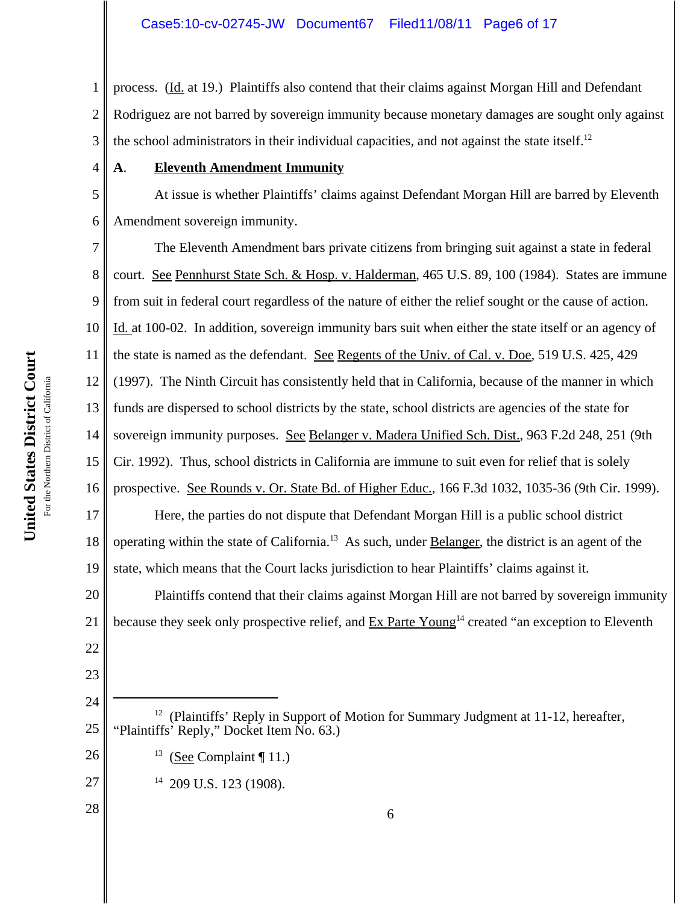1 2 3 process. (Id. at 19.) Plaintiffs also contend that their claims against Morgan Hill and Defendant Rodriguez are not barred by sovereign immunity because monetary damages are sought only against the school administrators in their individual capacities, and not against the state itself.<sup>12</sup>

# **A**. **Eleventh Amendment Immunity**

At issue is whether Plaintiffs' claims against Defendant Morgan Hill are barred by Eleventh Amendment sovereign immunity.

7 8 9 10 11 12 13 14 15 16 17 18 19 The Eleventh Amendment bars private citizens from bringing suit against a state in federal court. See Pennhurst State Sch. & Hosp. v. Halderman, 465 U.S. 89, 100 (1984). States are immune from suit in federal court regardless of the nature of either the relief sought or the cause of action. Id. at 100-02. In addition, sovereign immunity bars suit when either the state itself or an agency of the state is named as the defendant. See Regents of the Univ. of Cal. v. Doe, 519 U.S. 425, 429 (1997). The Ninth Circuit has consistently held that in California, because of the manner in which funds are dispersed to school districts by the state, school districts are agencies of the state for sovereign immunity purposes. See Belanger v. Madera Unified Sch. Dist., 963 F.2d 248, 251 (9th Cir. 1992). Thus, school districts in California are immune to suit even for relief that is solely prospective. See Rounds v. Or. State Bd. of Higher Educ., 166 F.3d 1032, 1035-36 (9th Cir. 1999). Here, the parties do not dispute that Defendant Morgan Hill is a public school district operating within the state of California.13 As such, under Belanger, the district is an agent of the state, which means that the Court lacks jurisdiction to hear Plaintiffs' claims against it.

20 21 Plaintiffs contend that their claims against Morgan Hill are not barred by sovereign immunity because they seek only prospective relief, and Ex Parte Young<sup>14</sup> created "an exception to Eleventh

- 25 <sup>12</sup> (Plaintiffs' Reply in Support of Motion for Summary Judgment at 11-12, hereafter, "Plaintiffs' Reply," Docket Item No. 63.)
	- <sup>13</sup> (See Complaint ¶ 11.)

 $14$  209 U.S. 123 (1908).

4

5

6

22

23

24

26

27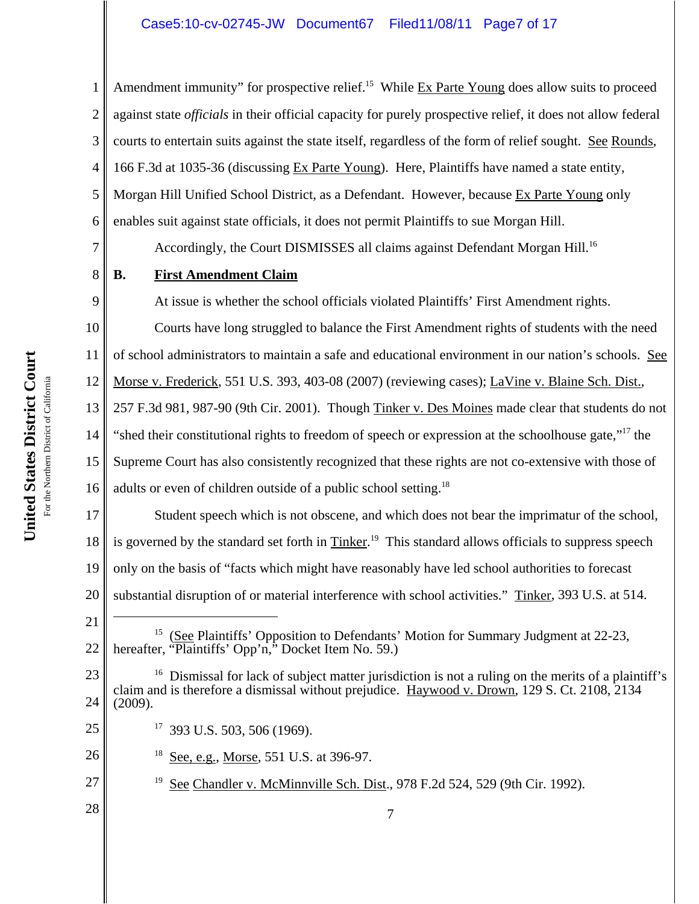# Case5:10-cv-02745-JW Document67 Filed11/08/11 Page7 of 17

1 2 3 4 5 6 7 8 9 10 11 12 13 14 15 16 17 18 19 20 21 22 23 24 25 26 27 28 15 (See Plaintiffs' Opposition to Defendants' Motion for Summary Judgment at 22-23, hereafter, "Plaintiffs' Opp'n," Docket Item No. 59.)  $16$  Dismissal for lack of subject matter jurisdiction is not a ruling on the merits of a plaintiff's claim and is therefore a dismissal without prejudice. Haywood v. Drown, 129 S. Ct. 2108, 2134 (2009). 17 393 U.S. 503, 506 (1969).  $18$  See, e.g., Morse, 551 U.S. at 396-97. <sup>19</sup> See Chandler v. McMinnville Sch. Dist., 978 F.2d 524, 529 (9th Cir. 1992). 7 Amendment immunity" for prospective relief.<sup>15</sup> While  $Ex$  Parte Young does allow suits to proceed against state *officials* in their official capacity for purely prospective relief, it does not allow federal courts to entertain suits against the state itself, regardless of the form of relief sought. See Rounds, 166 F.3d at 1035-36 (discussing Ex Parte Young). Here, Plaintiffs have named a state entity, Morgan Hill Unified School District, as a Defendant. However, because Ex Parte Young only enables suit against state officials, it does not permit Plaintiffs to sue Morgan Hill. Accordingly, the Court DISMISSES all claims against Defendant Morgan Hill.<sup>16</sup> **B. First Amendment Claim** At issue is whether the school officials violated Plaintiffs' First Amendment rights. Courts have long struggled to balance the First Amendment rights of students with the need of school administrators to maintain a safe and educational environment in our nation's schools. See Morse v. Frederick, 551 U.S. 393, 403-08 (2007) (reviewing cases); LaVine v. Blaine Sch. Dist., 257 F.3d 981, 987-90 (9th Cir. 2001). Though Tinker v. Des Moines made clear that students do not "shed their constitutional rights to freedom of speech or expression at the schoolhouse gate,"17 the Supreme Court has also consistently recognized that these rights are not co-extensive with those of adults or even of children outside of a public school setting.<sup>18</sup> Student speech which is not obscene, and which does not bear the imprimatur of the school, is governed by the standard set forth in Tinker.<sup>19</sup> This standard allows officials to suppress speech only on the basis of "facts which might have reasonably have led school authorities to forecast substantial disruption of or material interference with school activities." Tinker, 393 U.S. at 514.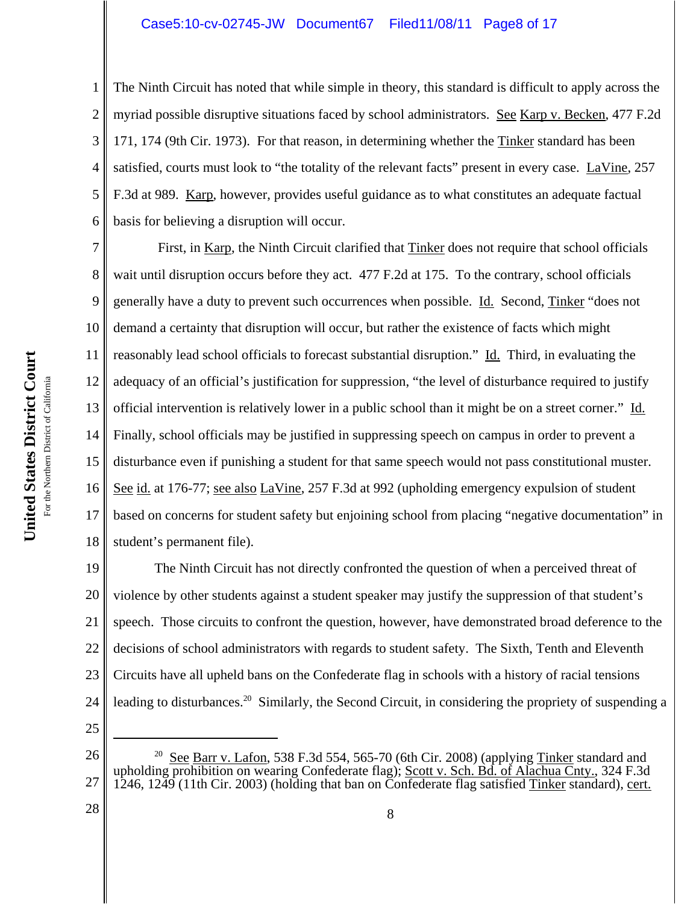#### Case5:10-cv-02745-JW Document67 Filed11/08/11 Page8 of 17

1 2 3 4 5 6 The Ninth Circuit has noted that while simple in theory, this standard is difficult to apply across the myriad possible disruptive situations faced by school administrators. See Karp v. Becken, 477 F.2d 171, 174 (9th Cir. 1973). For that reason, in determining whether the Tinker standard has been satisfied, courts must look to "the totality of the relevant facts" present in every case. LaVine, 257 F.3d at 989. Karp, however, provides useful guidance as to what constitutes an adequate factual basis for believing a disruption will occur.

7 8 9 10 11 12 13 14 15 16 17 18 First, in Karp, the Ninth Circuit clarified that Tinker does not require that school officials wait until disruption occurs before they act. 477 F.2d at 175. To the contrary, school officials generally have a duty to prevent such occurrences when possible. Id. Second, Tinker "does not demand a certainty that disruption will occur, but rather the existence of facts which might reasonably lead school officials to forecast substantial disruption." Id. Third, in evaluating the adequacy of an official's justification for suppression, "the level of disturbance required to justify official intervention is relatively lower in a public school than it might be on a street corner." Id. Finally, school officials may be justified in suppressing speech on campus in order to prevent a disturbance even if punishing a student for that same speech would not pass constitutional muster. See id. at 176-77; see also LaVine, 257 F.3d at 992 (upholding emergency expulsion of student based on concerns for student safety but enjoining school from placing "negative documentation" in student's permanent file).

19 20 21 22 23 24 The Ninth Circuit has not directly confronted the question of when a perceived threat of violence by other students against a student speaker may justify the suppression of that student's speech. Those circuits to confront the question, however, have demonstrated broad deference to the decisions of school administrators with regards to student safety. The Sixth, Tenth and Eleventh Circuits have all upheld bans on the Confederate flag in schools with a history of racial tensions leading to disturbances.<sup>20</sup> Similarly, the Second Circuit, in considering the propriety of suspending a

<sup>26</sup> 27 <sup>20</sup> See Barr v. Lafon, 538 F.3d 554, 565-70 (6th Cir. 2008) (applying Tinker standard and upholding prohibition on wearing Confederate flag); Scott v. Sch. Bd. of Alachua Cnty., 324 F.3d 1246, 1249 (11th Cir. 2003) (holding that ban on Confederate flag satisfied Tinker standard), cert.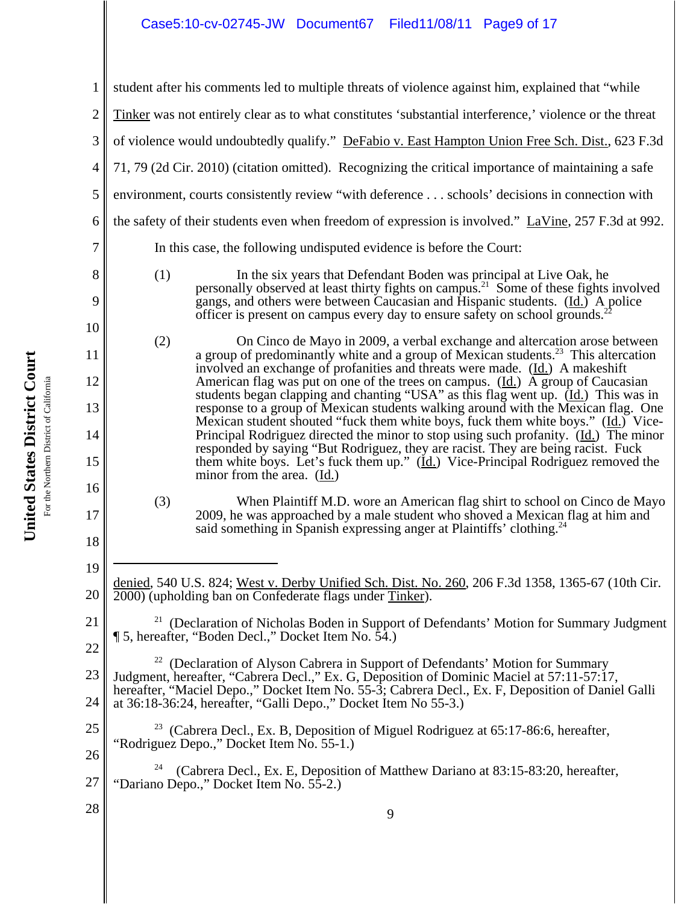# Case5:10-cv-02745-JW Document67 Filed11/08/11 Page9 of 17

|                | student after his comments led to multiple threats of violence against him, explained that "while                                                                                              |                                                                                                                                                                                                                                                                                                                                                       |  |
|----------------|------------------------------------------------------------------------------------------------------------------------------------------------------------------------------------------------|-------------------------------------------------------------------------------------------------------------------------------------------------------------------------------------------------------------------------------------------------------------------------------------------------------------------------------------------------------|--|
| $\overline{2}$ |                                                                                                                                                                                                | Tinker was not entirely clear as to what constitutes 'substantial interference,' violence or the threat                                                                                                                                                                                                                                               |  |
| 3              |                                                                                                                                                                                                | of violence would undoubtedly qualify." DeFabio v. East Hampton Union Free Sch. Dist., 623 F.3d                                                                                                                                                                                                                                                       |  |
| 4              |                                                                                                                                                                                                | 71, 79 (2d Cir. 2010) (citation omitted). Recognizing the critical importance of maintaining a safe                                                                                                                                                                                                                                                   |  |
| 5              | environment, courts consistently review "with deference schools' decisions in connection with                                                                                                  |                                                                                                                                                                                                                                                                                                                                                       |  |
| 6              | the safety of their students even when freedom of expression is involved." LaVine, 257 F.3d at 992.                                                                                            |                                                                                                                                                                                                                                                                                                                                                       |  |
| 7              | In this case, the following undisputed evidence is before the Court:                                                                                                                           |                                                                                                                                                                                                                                                                                                                                                       |  |
| 8<br>9         | (1)                                                                                                                                                                                            | In the six years that Defendant Boden was principal at Live Oak, he<br>personally observed at least thirty fights on campus. <sup>21</sup> Some of these fights involved<br>gangs, and others were between Caucasian and Hispanic students. (Id.) A police<br>officer is present on campus every day to ensure safety on school grounds. <sup>2</sup> |  |
| 10             | (2)                                                                                                                                                                                            | On Cinco de Mayo in 2009, a verbal exchange and altercation arose between                                                                                                                                                                                                                                                                             |  |
| 11             |                                                                                                                                                                                                | a group of predominantly white and a group of Mexican students. <sup>23</sup> This altercation<br>involved an exchange of profanities and threats were made. (Id.) A makeshift                                                                                                                                                                        |  |
| 12             |                                                                                                                                                                                                | American flag was put on one of the trees on campus. (Id.) A group of Caucasian<br>students began clapping and chanting "USA" as this flag went up. $(\underline{Id})$ This was in                                                                                                                                                                    |  |
| 13             |                                                                                                                                                                                                | response to a group of Mexican students walking around with the Mexican flag. One<br>Mexican student shouted "fuck them white boys, fuck them white boys." (Id.) Vice-                                                                                                                                                                                |  |
| 14<br>15       |                                                                                                                                                                                                | Principal Rodriguez directed the minor to stop using such profanity. (Id.) The minor<br>responded by saying "But Rodriguez, they are racist. They are being racist. Fuck<br>them white boys. Let's fuck them up." $(\underline{Id})$ Vice-Principal Rodriguez removed the                                                                             |  |
| 16             |                                                                                                                                                                                                | minor from the area. (Id.)                                                                                                                                                                                                                                                                                                                            |  |
| 17             | (3)                                                                                                                                                                                            | When Plaintiff M.D. wore an American flag shirt to school on Cinco de Mayo<br>2009, he was approached by a male student who shoved a Mexican flag at him and<br>said something in Spanish expressing anger at Plaintiffs' clothing. <sup>24</sup>                                                                                                     |  |
| 18             |                                                                                                                                                                                                |                                                                                                                                                                                                                                                                                                                                                       |  |
| 19             |                                                                                                                                                                                                | denied, 540 U.S. 824; West v. Derby Unified Sch. Dist. No. 260, 206 F.3d 1358, 1365-67 (10th Cir.                                                                                                                                                                                                                                                     |  |
| 20             |                                                                                                                                                                                                | 2000) (upholding ban on Confederate flags under Tinker).                                                                                                                                                                                                                                                                                              |  |
| 21             | (Declaration of Nicholas Boden in Support of Defendants' Motion for Summary Judgment<br>15, hereafter, "Boden Decl.," Docket Item No. 54.)                                                     |                                                                                                                                                                                                                                                                                                                                                       |  |
| 22             | 22                                                                                                                                                                                             | (Declaration of Alyson Cabrera in Support of Defendants' Motion for Summary                                                                                                                                                                                                                                                                           |  |
| 23             | Judgment, hereafter, "Cabrera Decl.," Ex. G, Deposition of Dominic Maciel at 57:11-57:17,<br>hereafter, "Maciel Depo.," Docket Item No. 55-3; Cabrera Decl., Ex. F, Deposition of Daniel Galli |                                                                                                                                                                                                                                                                                                                                                       |  |
| 24             |                                                                                                                                                                                                | at 36:18-36:24, hereafter, "Galli Depo.," Docket Item No 55-3.)                                                                                                                                                                                                                                                                                       |  |
| 25             |                                                                                                                                                                                                | <sup>23</sup> (Cabrera Decl., Ex. B, Deposition of Miguel Rodriguez at 65:17-86:6, hereafter,<br>"Rodriguez Depo.," Docket Item No. 55-1.)                                                                                                                                                                                                            |  |
| 26<br>27       | 24                                                                                                                                                                                             | (Cabrera Decl., Ex. E, Deposition of Matthew Dariano at 83:15-83:20, hereafter,<br>"Dariano Depo.," Docket Item No. 55-2.)                                                                                                                                                                                                                            |  |
| 28             |                                                                                                                                                                                                | 9                                                                                                                                                                                                                                                                                                                                                     |  |
|                |                                                                                                                                                                                                |                                                                                                                                                                                                                                                                                                                                                       |  |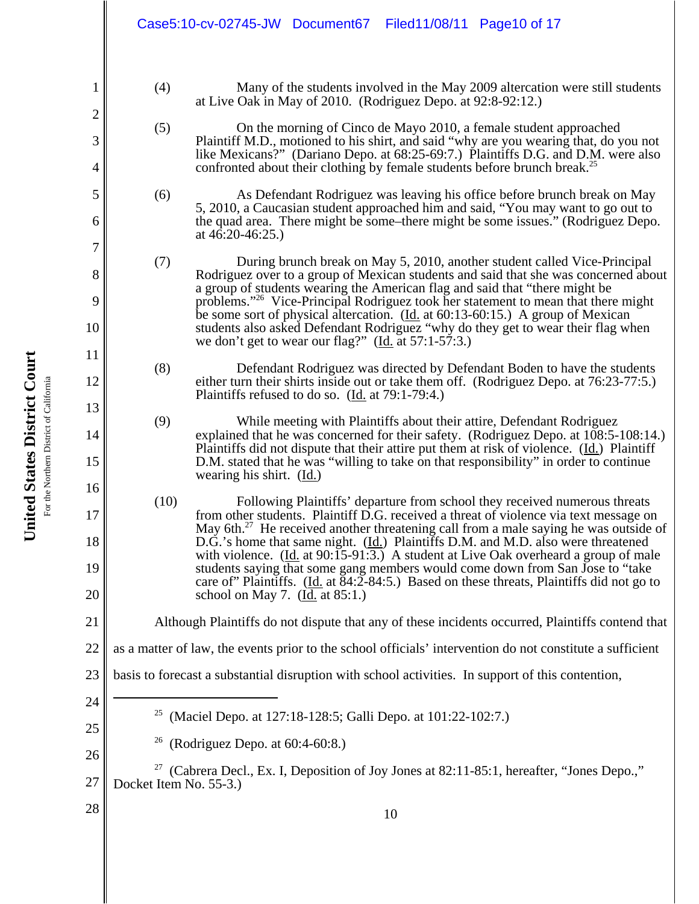- (4) Many of the students involved in the May 2009 altercation were still students at Live Oak in May of 2010. (Rodriguez Depo. at 92:8-92:12.)
- (5) On the morning of Cinco de Mayo 2010, a female student approached Plaintiff M.D., motioned to his shirt, and said "why are you wearing that, do you not like Mexicans?" (Dariano Depo. at 68:25-69:7.) Plaintiffs D.G. and D.M. were also confronted about their clothing by female students before brunch break.<sup>25</sup>
- (6) As Defendant Rodriguez was leaving his office before brunch break on May 5, 2010, a Caucasian student approached him and said, "You may want to go out to the quad area. There might be some–there might be some issues." (Rodriguez Depo. at 46:20-46:25.)
- (7) During brunch break on May 5, 2010, another student called Vice-Principal Rodriguez over to a group of Mexican students and said that she was concerned about a group of students wearing the American flag and said that "there might be problems."26 Vice-Principal Rodriguez took her statement to mean that there might be some sort of physical altercation. (Id. at 60:13-60:15.) A group of Mexican students also asked Defendant Rodriguez "why do they get to wear their flag when we don't get to wear our flag?" (Id. at 57:1-57:3.)
- (8) Defendant Rodriguez was directed by Defendant Boden to have the students either turn their shirts inside out or take them off. (Rodriguez Depo. at 76:23-77:5.) Plaintiffs refused to do so. (Id. at 79:1-79:4.)
- (9) While meeting with Plaintiffs about their attire, Defendant Rodriguez explained that he was concerned for their safety. (Rodriguez Depo. at 108:5-108:14.) Plaintiffs did not dispute that their attire put them at risk of violence. (Id.) Plaintiff D.M. stated that he was "willing to take on that responsibility" in order to continue wearing his shirt. (Id.)
- (10) Following Plaintiffs' departure from school they received numerous threats from other students. Plaintiff D.G. received a threat of violence via text message on May 6th.<sup>27</sup> He received another threatening call from a male saying he was outside of D.G.'s home that same night. (Id.) Plaintiffs D.M. and M.D. also were threatened with violence.  $(\underline{Id}$  at 90:15-91:3.) A student at Live Oak overheard a group of male students saying that some gang members would come down from San Jose to "take care of Plaintiffs. (Id. at  $\overline{84:2}$ - $\overline{84:5}$ .) Based on these threats, Plaintiffs did not go to school on May 7. (Id. at 85:1.)
- Although Plaintiffs do not dispute that any of these incidents occurred, Plaintiffs contend that
- 22 as a matter of law, the events prior to the school officials' intervention do not constitute a sufficient
- 23 basis to forecast a substantial disruption with school activities. In support of this contention,
	- 25 (Maciel Depo. at 127:18-128:5; Galli Depo. at 101:22-102:7.)
	- (Rodriguez Depo. at  $60:4-60:8$ .)
- 27 27 (Cabrera Decl., Ex. I, Deposition of Joy Jones at 82:11-85:1, hereafter, "Jones Depo.," Docket Item No. 55-3.)
- 28

United States District Court **United States District Court** For the Northern District of California For the Northern District of California 1

2

3

4

5

6

7

8

9

10

11

12

13

14

15

16

17

18

19

20

21

24

25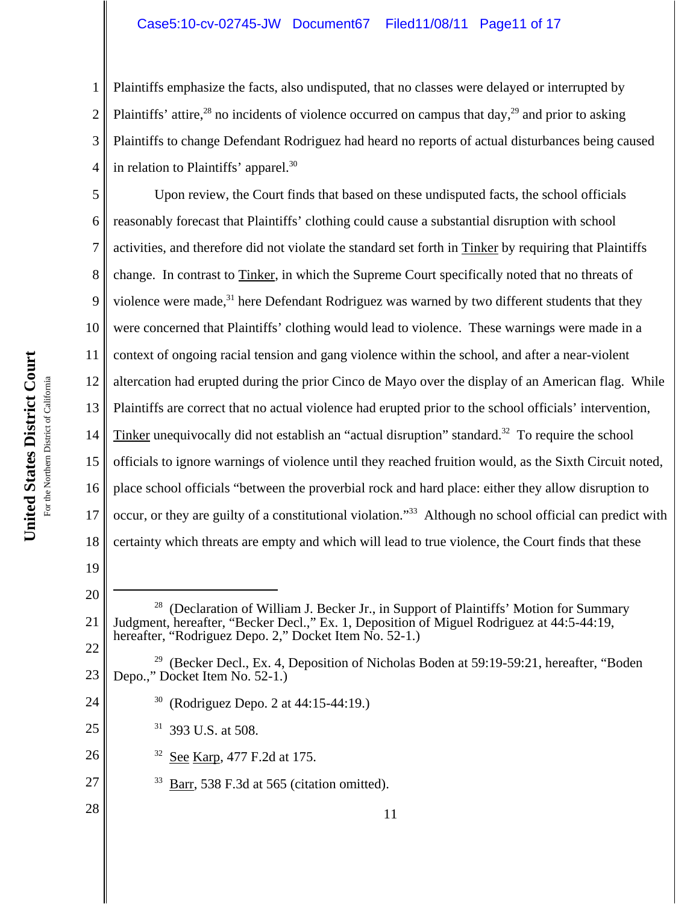### Case5:10-cv-02745-JW Document67 Filed11/08/11 Page11 of 17

2 3 4 Plaintiffs emphasize the facts, also undisputed, that no classes were delayed or interrupted by Plaintiffs' attire,<sup>28</sup> no incidents of violence occurred on campus that day,<sup>29</sup> and prior to asking Plaintiffs to change Defendant Rodriguez had heard no reports of actual disturbances being caused in relation to Plaintiffs' apparel. $30$ 

5 6 7 8 9 10 11 12 13 14 15 16 17 18 Upon review, the Court finds that based on these undisputed facts, the school officials reasonably forecast that Plaintiffs' clothing could cause a substantial disruption with school activities, and therefore did not violate the standard set forth in Tinker by requiring that Plaintiffs change. In contrast to Tinker, in which the Supreme Court specifically noted that no threats of violence were made,<sup>31</sup> here Defendant Rodriguez was warned by two different students that they were concerned that Plaintiffs' clothing would lead to violence. These warnings were made in a context of ongoing racial tension and gang violence within the school, and after a near-violent altercation had erupted during the prior Cinco de Mayo over the display of an American flag. While Plaintiffs are correct that no actual violence had erupted prior to the school officials' intervention, Tinker unequivocally did not establish an "actual disruption" standard.<sup>32</sup> To require the school officials to ignore warnings of violence until they reached fruition would, as the Sixth Circuit noted, place school officials "between the proverbial rock and hard place: either they allow disruption to occur, or they are guilty of a constitutional violation."33 Although no school official can predict with certainty which threats are empty and which will lead to true violence, the Court finds that these

19

20

24

25

26

27

28

1

- 21 22  $28$  (Declaration of William J. Becker Jr., in Support of Plaintiffs' Motion for Summary Judgment, hereafter, "Becker Decl.," Ex. 1, Deposition of Miguel Rodriguez at 44:5-44:19, hereafter, "Rodriguez Depo. 2," Docket Item No. 52-1.)
- 23 <sup>29</sup> (Becker Decl., Ex. 4, Deposition of Nicholas Boden at 59:19-59:21, hereafter, "Boden" Depo.," Docket Item No. 52-1.)
	- 30 (Rodriguez Depo. 2 at 44:15-44:19.)
	- 31 393 U.S. at 508.
	- 32 See Karp, 477 F.2d at 175.
		- $33$  Barr, 538 F.3d at 565 (citation omitted).

United States District Court **United States District Court** For the Northern District of California For the Northern District of California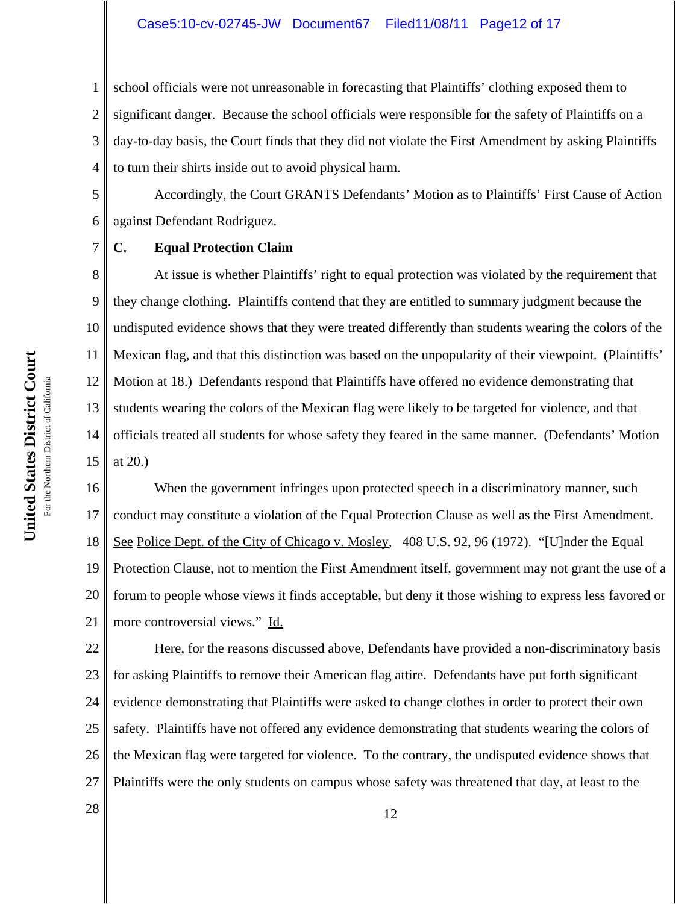#### Case5:10-cv-02745-JW Document67 Filed11/08/11 Page12 of 17

1 2 3 4 school officials were not unreasonable in forecasting that Plaintiffs' clothing exposed them to significant danger. Because the school officials were responsible for the safety of Plaintiffs on a day-to-day basis, the Court finds that they did not violate the First Amendment by asking Plaintiffs to turn their shirts inside out to avoid physical harm.

5 6 Accordingly, the Court GRANTS Defendants' Motion as to Plaintiffs' First Cause of Action against Defendant Rodriguez.

#### **C. Equal Protection Claim**

8 9 10 11 12 13 14 15 At issue is whether Plaintiffs' right to equal protection was violated by the requirement that they change clothing. Plaintiffs contend that they are entitled to summary judgment because the undisputed evidence shows that they were treated differently than students wearing the colors of the Mexican flag, and that this distinction was based on the unpopularity of their viewpoint. (Plaintiffs' Motion at 18.) Defendants respond that Plaintiffs have offered no evidence demonstrating that students wearing the colors of the Mexican flag were likely to be targeted for violence, and that officials treated all students for whose safety they feared in the same manner. (Defendants' Motion at 20.)

16 17 18 19 20 21 When the government infringes upon protected speech in a discriminatory manner, such conduct may constitute a violation of the Equal Protection Clause as well as the First Amendment. See Police Dept. of the City of Chicago v. Mosley, 408 U.S. 92, 96 (1972). "[U]nder the Equal Protection Clause, not to mention the First Amendment itself, government may not grant the use of a forum to people whose views it finds acceptable, but deny it those wishing to express less favored or more controversial views." Id.

22 23 24 25 26 27 Here, for the reasons discussed above, Defendants have provided a non-discriminatory basis for asking Plaintiffs to remove their American flag attire. Defendants have put forth significant evidence demonstrating that Plaintiffs were asked to change clothes in order to protect their own safety. Plaintiffs have not offered any evidence demonstrating that students wearing the colors of the Mexican flag were targeted for violence. To the contrary, the undisputed evidence shows that Plaintiffs were the only students on campus whose safety was threatened that day, at least to the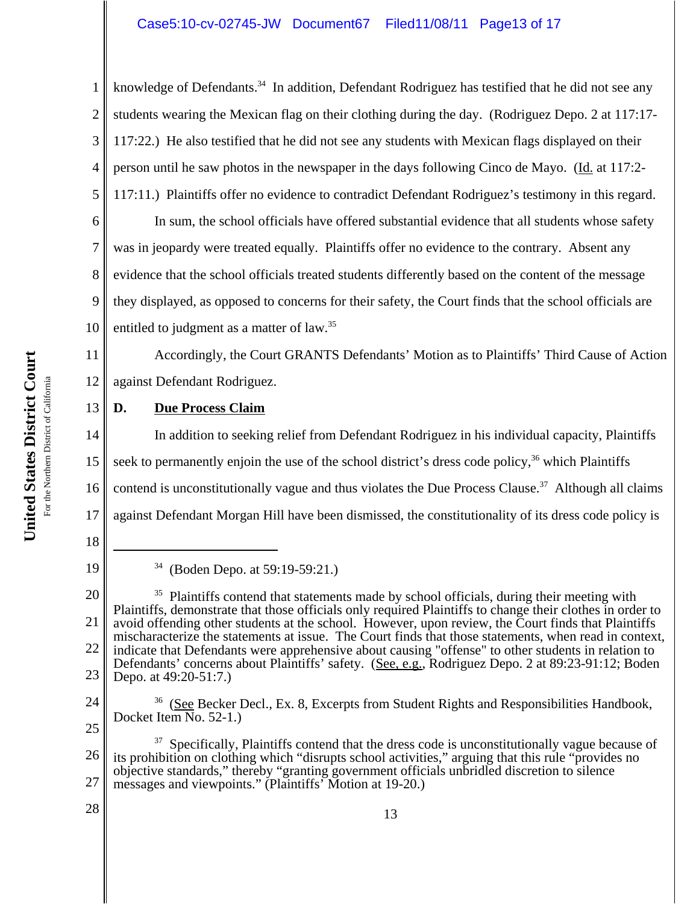3 4 knowledge of Defendants.<sup>34</sup> In addition, Defendant Rodriguez has testified that he did not see any students wearing the Mexican flag on their clothing during the day. (Rodriguez Depo. 2 at 117:17- 117:22.) He also testified that he did not see any students with Mexican flags displayed on their person until he saw photos in the newspaper in the days following Cinco de Mayo. (Id. at 117:2- 117:11.) Plaintiffs offer no evidence to contradict Defendant Rodriguez's testimony in this regard.

6 7 8 9 10 In sum, the school officials have offered substantial evidence that all students whose safety was in jeopardy were treated equally. Plaintiffs offer no evidence to the contrary. Absent any evidence that the school officials treated students differently based on the content of the message they displayed, as opposed to concerns for their safety, the Court finds that the school officials are entitled to judgment as a matter of law.<sup>35</sup>

11 12 Accordingly, the Court GRANTS Defendants' Motion as to Plaintiffs' Third Cause of Action against Defendant Rodriguez.

#### 13 **D. Due Process Claim**

14 15 16 17 In addition to seeking relief from Defendant Rodriguez in his individual capacity, Plaintiffs seek to permanently enjoin the use of the school district's dress code policy,  $36$  which Plaintiffs contend is unconstitutionally vague and thus violates the Due Process Clause.<sup>37</sup> Although all claims against Defendant Morgan Hill have been dismissed, the constitutionality of its dress code policy is

1

2

5

<sup>18</sup> 19

<sup>34 (</sup>Boden Depo. at 59:19-59:21.)

<sup>20</sup> 21 22 23 <sup>35</sup> Plaintiffs contend that statements made by school officials, during their meeting with Plaintiffs, demonstrate that those officials only required Plaintiffs to change their clothes in order to avoid offending other students at the school. However, upon review, the Court finds that Plaintiffs mischaracterize the statements at issue. The Court finds that those statements, when read in context, indicate that Defendants were apprehensive about causing "offense" to other students in relation to Defendants' concerns about Plaintiffs' safety. (See, e.g., Rodriguez Depo. 2 at 89:23-91:12; Boden Depo. at 49:20-51:7.)

<sup>24</sup> 25  $36$  (See Becker Decl., Ex. 8, Excerpts from Student Rights and Responsibilities Handbook, Docket Item No. 52-1.)

<sup>26</sup> 27  $37$  Specifically, Plaintiffs contend that the dress code is unconstitutionally vague because of its prohibition on clothing which "disrupts school activities," arguing that this rule "provides no objective standards," thereby "granting government officials unbridled discretion to silence messages and viewpoints." (Plaintiffs' Motion at 19-20.)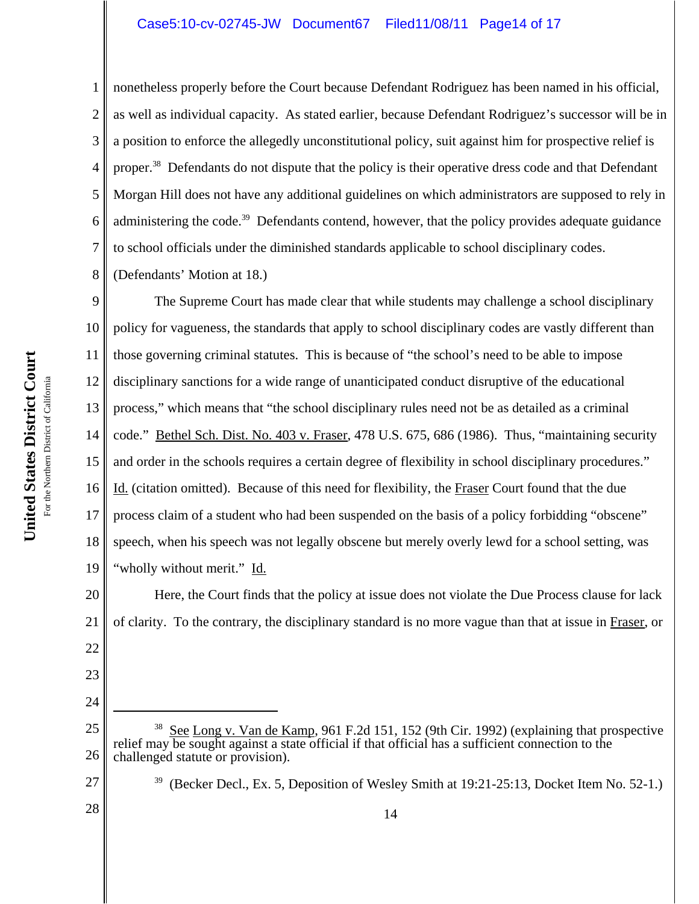#### Case5:10-cv-02745-JW Document67 Filed11/08/11 Page14 of 17

nonetheless properly before the Court because Defendant Rodriguez has been named in his official, as well as individual capacity. As stated earlier, because Defendant Rodriguez's successor will be in a position to enforce the allegedly unconstitutional policy, suit against him for prospective relief is proper.<sup>38</sup> Defendants do not dispute that the policy is their operative dress code and that Defendant Morgan Hill does not have any additional guidelines on which administrators are supposed to rely in administering the code.<sup>39</sup> Defendants contend, however, that the policy provides adequate guidance to school officials under the diminished standards applicable to school disciplinary codes.

8 (Defendants' Motion at 18.)

1

2

3

4

5

6

7

9 10 11 12 13 14 15 16 17 18 19 The Supreme Court has made clear that while students may challenge a school disciplinary policy for vagueness, the standards that apply to school disciplinary codes are vastly different than those governing criminal statutes. This is because of "the school's need to be able to impose disciplinary sanctions for a wide range of unanticipated conduct disruptive of the educational process," which means that "the school disciplinary rules need not be as detailed as a criminal code." Bethel Sch. Dist. No. 403 v. Fraser, 478 U.S. 675, 686 (1986). Thus, "maintaining security and order in the schools requires a certain degree of flexibility in school disciplinary procedures." Id. (citation omitted). Because of this need for flexibility, the Fraser Court found that the due process claim of a student who had been suspended on the basis of a policy forbidding "obscene" speech, when his speech was not legally obscene but merely overly lewd for a school setting, was "wholly without merit." Id.

20 21 Here, the Court finds that the policy at issue does not violate the Due Process clause for lack of clarity. To the contrary, the disciplinary standard is no more vague than that at issue in Fraser, or

- 25 26 <sup>38</sup> See Long v. Van de Kamp, 961 F.2d 151, 152 (9th Cir. 1992) (explaining that prospective relief may be sought against a state official if that official has a sufficient connection to the challenged statute or provision).
- 27

22

23

24

<sup>39 (</sup>Becker Decl., Ex. 5, Deposition of Wesley Smith at 19:21-25:13, Docket Item No. 52-1.)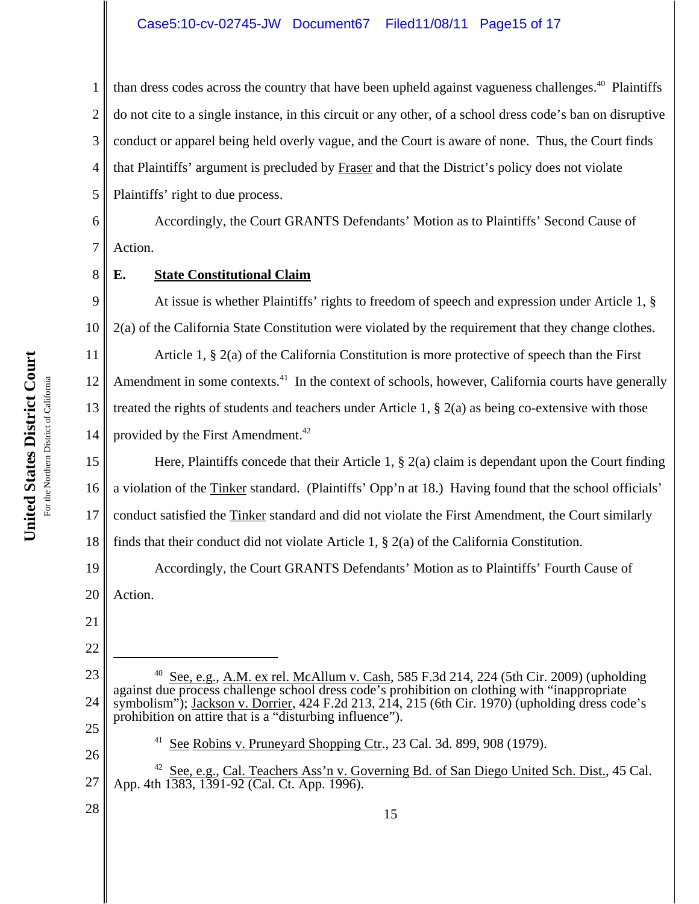# Case5:10-cv-02745-JW Document67 Filed11/08/11 Page15 of 17

1 2 3 4 5 than dress codes across the country that have been upheld against vagueness challenges.<sup>40</sup> Plaintiffs do not cite to a single instance, in this circuit or any other, of a school dress code's ban on disruptive conduct or apparel being held overly vague, and the Court is aware of none. Thus, the Court finds that Plaintiffs' argument is precluded by Fraser and that the District's policy does not violate Plaintiffs' right to due process.

6 7 Accordingly, the Court GRANTS Defendants' Motion as to Plaintiffs' Second Cause of Action.

# **E. State Constitutional Claim**

9 10 At issue is whether Plaintiffs' rights to freedom of speech and expression under Article 1, § 2(a) of the California State Constitution were violated by the requirement that they change clothes.

11 12 13 14 Article 1, § 2(a) of the California Constitution is more protective of speech than the First Amendment in some contexts.<sup>41</sup> In the context of schools, however, California courts have generally treated the rights of students and teachers under Article 1, § 2(a) as being co-extensive with those provided by the First Amendment.<sup>42</sup>

15 16 17 18 Here, Plaintiffs concede that their Article 1, § 2(a) claim is dependant upon the Court finding a violation of the Tinker standard. (Plaintiffs' Opp'n at 18.) Having found that the school officials' conduct satisfied the Tinker standard and did not violate the First Amendment, the Court similarly finds that their conduct did not violate Article 1,  $\S$  2(a) of the California Constitution.

19 20 Accordingly, the Court GRANTS Defendants' Motion as to Plaintiffs' Fourth Cause of Action.

21

8

22

23

24

25

- <sup>40</sup> See, e.g., A.M. ex rel. McAllum v. Cash, 585 F.3d 214, 224 (5th Cir. 2009) (upholding against due process challenge school dress code's prohibition on clothing with "inappropriate symbolism"); Jackson v. Dorrier, 424 F.2d 213, 214, 215 (6th Cir. 1970) (upholding dress code's prohibition on attire that is a "disturbing influence").
	- $41$  See Robins v. Pruneyard Shopping Ctr., 23 Cal. 3d. 899, 908 (1979).
- 27 <sup>42</sup> See, e.g., Cal. Teachers Ass'n v. Governing Bd. of San Diego United Sch. Dist., 45 Cal. App. 4th 1383, 1391-92 (Cal. Ct. App. 1996).
- 28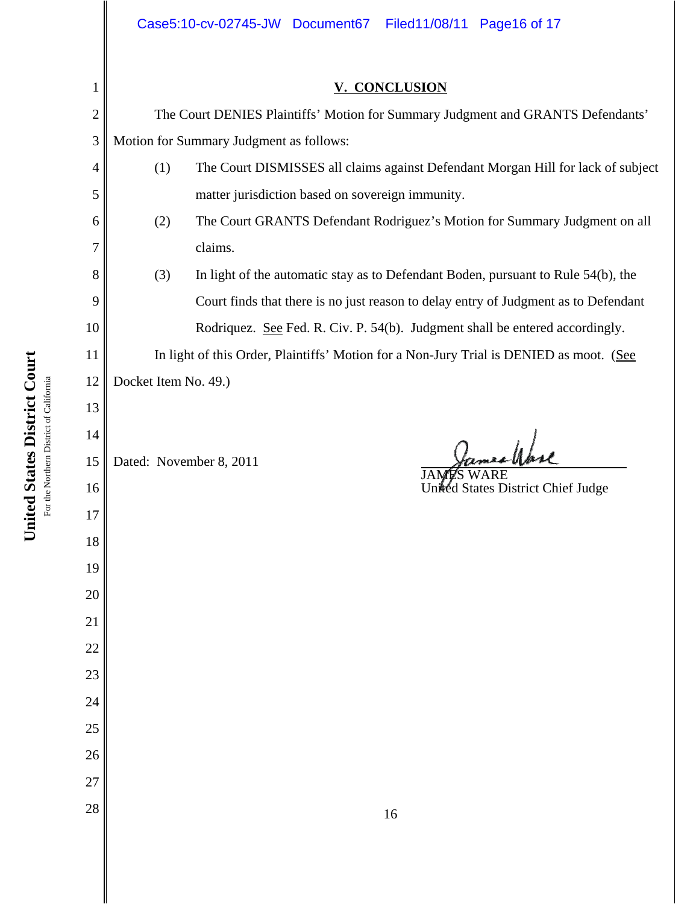# **V. CONCLUSION**

The Court DENIES Plaintiffs' Motion for Summary Judgment and GRANTS Defendants' Motion for Summary Judgment as follows:

- (1) The Court DISMISSES all claims against Defendant Morgan Hill for lack of subject matter jurisdiction based on sovereign immunity.
- (2) The Court GRANTS Defendant Rodriguez's Motion for Summary Judgment on all claims.
- (3) In light of the automatic stay as to Defendant Boden, pursuant to Rule 54(b), the Court finds that there is no just reason to delay entry of Judgment as to Defendant Rodriquez. See Fed. R. Civ. P. 54(b). Judgment shall be entered accordingly.

In light of this Order, Plaintiffs' Motion for a Non-Jury Trial is DENIED as moot. (See Docket Item No. 49.)

Dated: November 8, 2011

mes Wase

JAMES WARE United States District Chief Judge

1

2

3

4

5

6

7

8

9

10

11

12

13

14

15

16

17

18

19

20

21

22

23

24

25

26

 $\begin{array}{c|c|c|c|c} \hline 28 & 16 \end{array}$